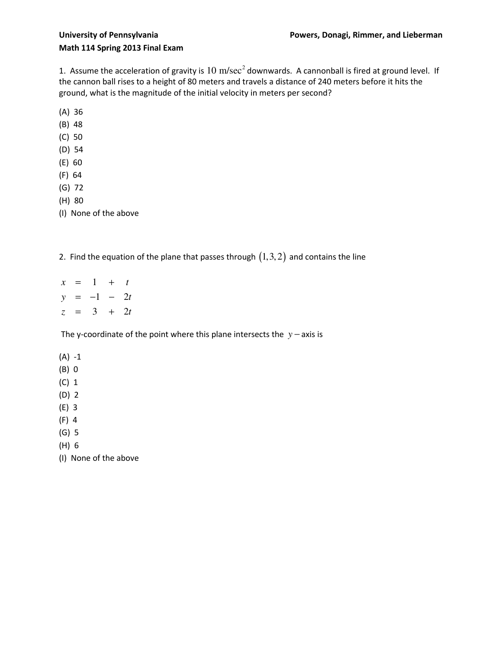1. Assume the acceleration of gravity is  $10 \text{ m/sec}^2$  downwards. A cannonball is fired at ground level. If the cannon ball rises to a height of 80 meters and travels a distance of 240 meters before it hits the ground, what is the magnitude of the initial velocity in meters per second?

- (A) 36
- (B) 48
- (C) 50
- (D) 54
- (E) 60
- (F) 64
- (G) 72
- (H) 80
- (I) None of the above
- 2. Find the equation of the plane that passes through  $(1,3,2)$  and contains the line
- $x = 1 + t$  $y = -1 - 2t$  $z = 3 + 2t$

The y-coordinate of the point where this plane intersects the *y* − axis is

(A) -1

- (B) 0
- (C) 1
- (D) 2
- (E) 3
- (F) 4
- (G) 5
- (H) 6
- (I) None of the above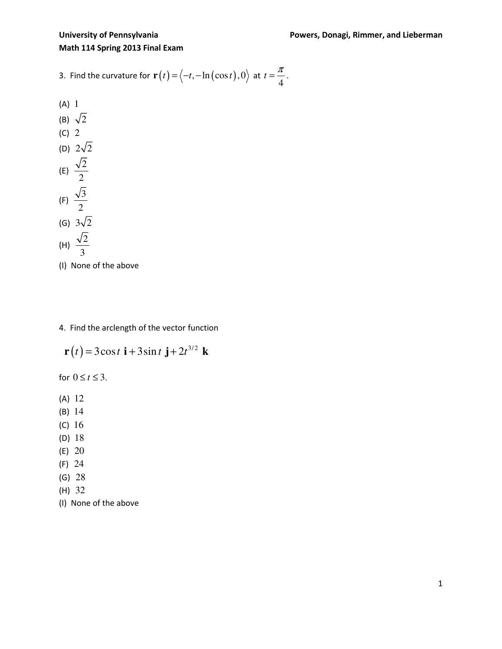3. Find the curvature for 
$$
\mathbf{r}(t) = \langle -t, -\ln(\cos t), 0 \rangle
$$
 at  $t = \frac{\pi}{4}$ .

(A) 1  
\n(B) 
$$
\sqrt{2}
$$
  
\n(C) 2  
\n(D)  $2\sqrt{2}$   
\n(E)  $\frac{\sqrt{2}}{2}$   
\n(F)  $\frac{\sqrt{3}}{2}$   
\n(G)  $3\sqrt{2}$   
\n(H)  $\frac{\sqrt{2}}{3}$ 

- (I) None of the above
- 4. Find the arclength of the vector function

$$
\mathbf{r}(t) = 3\cos t \mathbf{i} + 3\sin t \mathbf{j} + 2t^{3/2} \mathbf{k}
$$

for  $0 \le t \le 3$ .

- (A) 12
- (B) 14
- (C) 16
- (D) 18
- (E) 20
- (F) 24
- (G) 28
- (H) 32
- (I) None of the above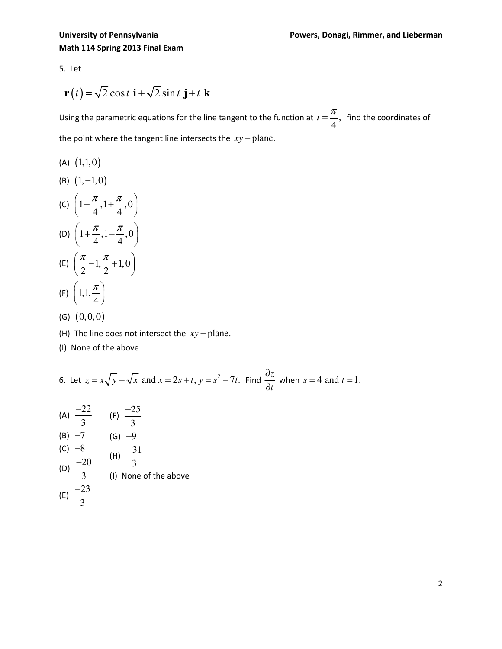5. Let

$$
\mathbf{r}(t) = \sqrt{2}\cos t \mathbf{i} + \sqrt{2}\sin t \mathbf{j} + t \mathbf{k}
$$

Using the parametric equations for the line tangent to the function at  $t = \frac{1}{\epsilon}$ , 4  $t = \frac{\pi}{4}$ , find the coordinates of the point where the tangent line intersects the *xy* − plane.

- $(A)$   $(1,1,0)$
- (B)  $(1, -1, 0)$
- (C)  $1 \frac{\pi}{4}, 1 + \frac{\pi}{4}, 0$ 4 4  $\left( \begin{array}{cc} \pi & \pi \end{array} \right)$  $\left(1-\frac{\pi}{4}, 1+\frac{\pi}{4}, 0\right)$ (D)  $1 + \frac{\pi}{4}, 1 - \frac{\pi}{4}, 0$ 4 4  $\left( \pi \pi \pi_0 \right)$  $\left(1+\frac{\pi}{4}, 1-\frac{\pi}{4}, 0\right)$ (E)  $\frac{\pi}{2} - 1, \frac{\pi}{2} + 1, 0$ 2 2  $(\pi, \pi)$  $\left(\frac{\pi}{2}-1,\frac{\pi}{2}+1,0\right)$  $(F) | 1,1,$  $\left( \begin{array}{c} 1 & \pi \end{array} \right)$  $\left(1,1,\frac{\pi}{4}\right)$
- (G)  $(0,0,0)$
- (H) The line does not intersect the  $xy$  plane.
- (I) None of the above

4

6. Let 
$$
z = x\sqrt{y} + \sqrt{x}
$$
 and  $x = 2s + t$ ,  $y = s^2 - 7t$ . Find  $\frac{\partial z}{\partial t}$  when  $s = 4$  and  $t = 1$ .

(A) 
$$
\frac{-22}{3}
$$
 (F)  $\frac{-25}{3}$   
\n(B) -7 (G) -9  
\n(C) -8 (H)  $\frac{-31}{3}$   
\n(D)  $\frac{-20}{3}$  (I) None of the above  
\n(E)  $\frac{-23}{3}$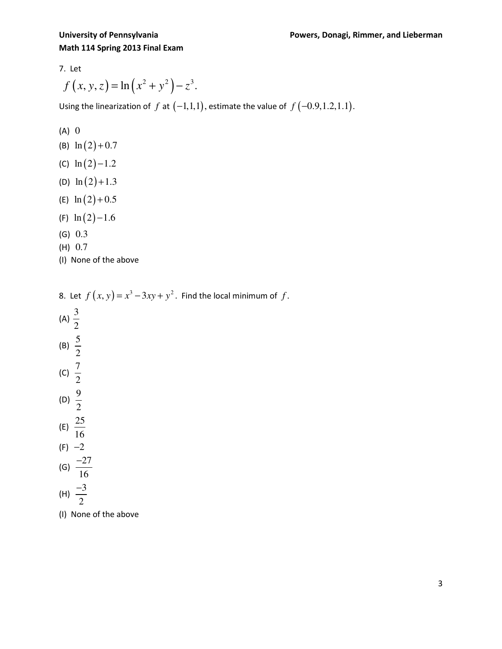7. Let

$$
f(x, y, z) = \ln(x^2 + y^2) - z^3.
$$

Using the linearization of  $f$  at  $(-1,1,1)$ , estimate the value of  $f(-0.9,1.2,1.1)$ .

$$
(A) 0
$$

- (B)  $\ln (2) + 0.7$
- (C)  $\ln(2) 1.2$
- (D)  $\ln(2) + 1.3$
- (E)  $\ln (2) + 0.5$
- (F)  $\ln(2) 1.6$
- (G) 0.3
- (H) 0.7
- (I) None of the above

8. Let  $f(x, y) = x^3 - 3xy + y^2$ . Find the local minimum of f. (A)  $\frac{3}{5}$ 2 (B)  $\frac{5}{5}$ 2 (c)  $\frac{7}{5}$ 2 (D)  $\frac{9}{7}$ 2 (E)  $\frac{25}{15}$ 16  $(F) -2$ (G)  $\frac{-27}{16}$ −

$$
\begin{array}{c} \begin{array}{c} 16 \\ \text{(H)} \end{array} \\ \frac{-3}{2} \end{array}
$$

(I) None of the above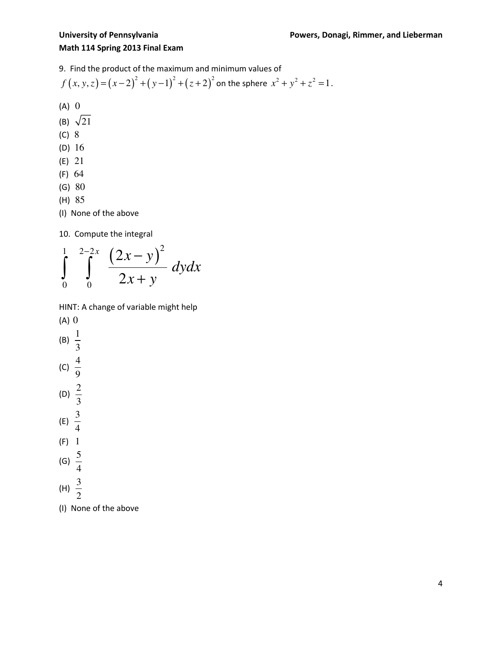9. Find the product of the maximum and minimum values of

$$
f(x, y, z) = (x-2)^2 + (y-1)^2 + (z+2)^2
$$
 on the sphere  $x^2 + y^2 + z^2 = 1$ .

(A) 0

- (B)  $\sqrt{21}$
- (C) 8
- (D) 16
- (E) 21
- (F) 64
- (G) 80
- (H) 85
- (I) None of the above

10. Compute the integral



HINT: A change of variable might help

- (A) 0 (B)  $\frac{1}{2}$ 3 (C)  $\frac{4}{9}$ 9 (D)  $\frac{2}{3}$ 3 (E)  $\frac{3}{7}$ 4 (F) 1 (G)  $\frac{5}{7}$ 4 (H)  $\frac{3}{5}$ 2
- (I) None of the above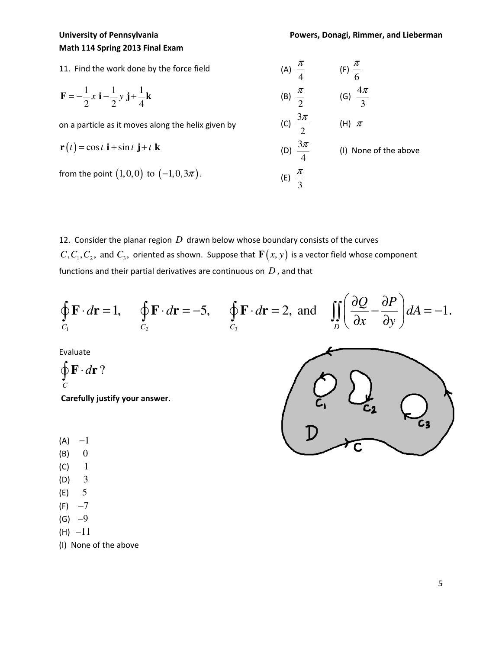11. Find the work done by the force field  $\frac{1}{2}x i - \frac{1}{2}y j + \frac{1}{4}$ 2  $2^{\degree}$  2  $4$  $\mathbf{F} = -\frac{1}{2}x\mathbf{i} - \frac{1}{2}y\mathbf{j} + \frac{1}{4}\mathbf{k}$ on a particle as it moves along the helix given by  $\mathbf{r}(t) = \cos t \mathbf{i} + \sin t \mathbf{j} + t \mathbf{k}$ from the point  $(1,0,0)$  to  $(-1,0,3\pi)$ . (A) 4  $\frac{\pi}{4}$  (F) 6 π (B) 2  $\frac{\pi}{6}$  (G)  $\frac{4}{3}$ 3 π (C)  $\frac{3}{7}$ 2 π (H)  $\pi$ (D)  $\frac{3}{4}$ 4 π (I) None of the above (E) 3  $\frac{\pi}{2}$ 

12. Consider the planar region *D* drawn below whose boundary consists of the curves  $C, C_1, C_2$ , and  $C_3$ , oriented as shown. Suppose that  $\mathbf{F}(x, y)$  is a vector field whose component functions and their partial derivatives are continuous on *D* , and that

$$
\oint_{C_1} \mathbf{F} \cdot d\mathbf{r} = 1, \quad \oint_{C_2} \mathbf{F} \cdot d\mathbf{r} = -5, \quad \oint_{C_3} \mathbf{F} \cdot d\mathbf{r} = 2, \text{ and } \quad \iint_{D} \left( \frac{\partial Q}{\partial x} - \frac{\partial P}{\partial y} \right) dA = -1.
$$

Evaluate

 $\oint \mathbf{F} \cdot d\mathbf{r}$ ? *C*

Carefully justify your answer.

- $(A) -1$
- $(B)$  0
- $(C) 1$
- (D) 3
- (E) 5
- $(F) -7$
- $(G) -9$
- $(H) -11$
- (I) None of the above

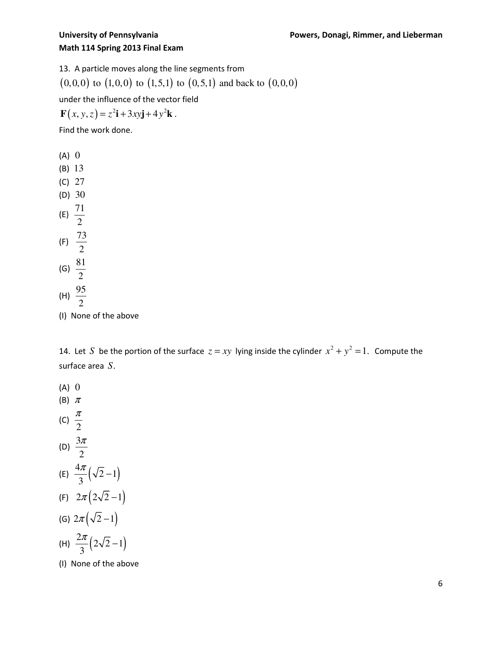13. A particle moves along the line segments from

 $(0,0,0)$  to  $(1,0,0)$  to  $(1,5,1)$  to  $(0,5,1)$  and back to  $(0,0,0)$ 

under the influence of the vector field

$$
\mathbf{F}(x, y, z) = z^2 \mathbf{i} + 3xy \mathbf{j} + 4y^2 \mathbf{k}.
$$

Find the work done.

 $(A)$  0 (B) 13 (C) 27 (D) 30 (E)  $\frac{71}{4}$ 2  $(F) \frac{73}{9}$ 2 (G)  $\frac{81}{3}$ 2 (H)  $\frac{95}{4}$ 2

(I) None of the above

14. Let *S* be the portion of the surface  $z = xy$  lying inside the cylinder  $x^2 + y^2 = 1$ . Compute the surface area *S*.

 $(A)$  0 (B) <sup>π</sup> (C) 2 π (D)  $\frac{3}{2}$ 2 π (E)  $\frac{4\pi}{2}(\sqrt{2}-1)$ 3  $\frac{\pi}{2}(\sqrt{2}-1)$ (F)  $2\pi (2\sqrt{2}-1)$ (G)  $2\pi(\sqrt{2}-1)$ (H)  $\frac{2\pi}{2} (2\sqrt{2}-1)$ 3  $\frac{\pi}{2}(2\sqrt{2}-1)$ (I) None of the above